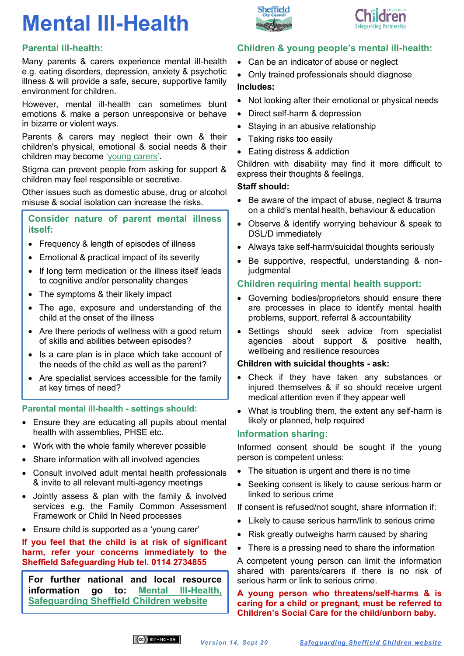# **Mental Ill-Health**



Many parents & carers experience mental ill-health e.g. eating disorders, depression, anxiety & psychotic illness & will provide a safe, secure, supportive family environment for children.

However, mental ill-health can sometimes blunt emotions & make a person unresponsive or behave in bizarre or violent ways.

Parents & carers may neglect their own & their children's physical, emotional & social needs & their children may become ['young carers'](https://www.safeguardingsheffieldchildren.org/sscb/safeguarding-information-and-resources/young-carers).

Stigma can prevent people from asking for support & children may feel responsible or secretive.

Other issues such as domestic abuse, drug or alcohol misuse & social isolation can increase the risks.

#### **Consider nature of parent mental illness itself:**

- Frequency & length of episodes of illness
- Emotional & practical impact of its severity
- If long term medication or the illness itself leads to cognitive and/or personality changes
- The symptoms & their likely impact
- The age, exposure and understanding of the child at the onset of the illness
- Are there periods of wellness with a good return of skills and abilities between episodes?
- Is a care plan is in place which take account of the needs of the child as well as the parent?
- Are specialist services accessible for the family at key times of need?

#### **Parental mental ill-health - settings should:**

- Ensure they are educating all pupils about mental health with assemblies, PHSE etc.
- Work with the whole family wherever possible
- Share information with all involved agencies
- Consult involved adult mental health professionals & invite to all relevant multi-agency meetings
- Jointly assess & plan with the family & involved services e.g. the Family Common Assessment Framework or Child In Need processes
- Ensure child is supported as a 'young carer'

**If you feel that the child is at risk of significant harm, refer your concerns immediately to the Sheffield Safeguarding Hub tel. 0114 2734855**

**For further national and local resource information go to: [Mental Ill-Health,](https://www.safeguardingsheffieldchildren.org/sscb/safeguarding-information-and-resources/mental-ill-health)  [Safeguarding Sheffield Children website](https://www.safeguardingsheffieldchildren.org/sscb/safeguarding-information-and-resources/mental-ill-health)**



- Can be an indicator of abuse or neglect
- Only trained professionals should diagnose **Includes:**
- Not looking after their emotional or physical needs
- Direct self-harm & depression
- Staying in an abusive relationship
- Taking risks too easily

Sheffield

• Eating distress & addiction

Children with disability may find it more difficult to express their thoughts & feelings.

### **Staff should:**

- Be aware of the impact of abuse, neglect & trauma on a child's mental health, behaviour & education
- Observe & identify worrying behaviour & speak to DSL/D immediately
- Always take self-harm/suicidal thoughts seriously
- Be supportive, respectful, understanding & noniudgmental

## **Children requiring mental health support:**

- Governing bodies/proprietors should ensure there are processes in place to identify mental health problems, support, referral & accountability
- Settings should seek advice from specialist agencies about support & positive health, wellbeing and resilience resources

### **Children with suicidal thoughts - ask:**

- Check if they have taken any substances or injured themselves & if so should receive urgent medical attention even if they appear well
- What is troubling them, the extent any self-harm is likely or planned, help required

## **Information sharing:**

Informed consent should be sought if the young person is competent unless:

- The situation is urgent and there is no time
- Seeking consent is likely to cause serious harm or linked to serious crime

If consent is refused/not sought, share information if:

- Likely to cause serious harm/link to serious crime
- Risk greatly outweighs harm caused by sharing
- There is a pressing need to share the information

A competent young person can limit the information shared with parents/carers if there is no risk of serious harm or link to serious crime.

**A young person who threatens/self-harms & is caring for a child or pregnant, must be referred to Children's Social Care for the child/unborn baby.**